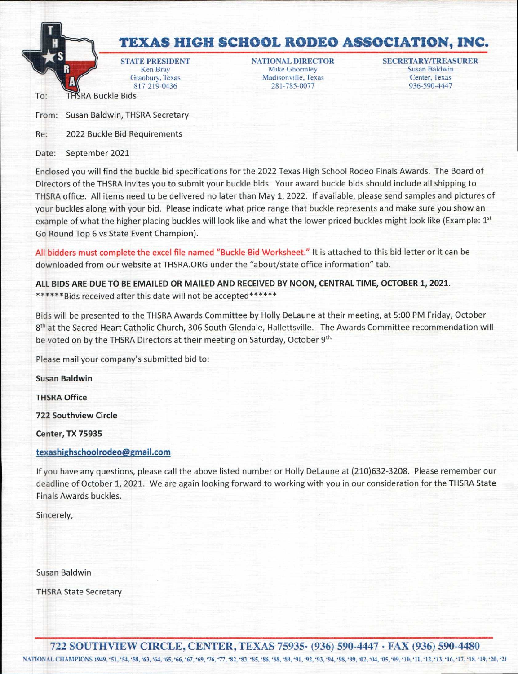

To: THSRA Buckle Bids

Ken Bray Mike Ghormley Susan Baldwin<br>
Granbury, Texas Madisonville, Texas Center, Texas Granbury, Texas Madisonville, Texas Madisonville, Texas 281-785-0077

STATE PRESIDENT **NATIONAL DIRECTOR** SECRETARY/TREASURER <br>
Nen Bray Mike Ghormley Susan Baldwin 936-590-4447

From: Susan Baldwin, THSRA Secretary

Re: 2022 Buckle Bid Requirements

Date: September 2021

Enclosed you will find the buckle bid specifications for the 2022 Texas High School Rodeo Finals Awards. The Board of Directors of the THSRA invites you to submit your buckle bids. Your award buckle bids should include all shipping to THSRA office. All items need to be delivered no later than May 1, 2022. If available, please send samples and pictures of your buckles along with your bid. Please indicate what price range that buckle represents and make sure you show an example of what the higher placing buckles will look like and what the lower priced buckles might look like (Example:  $1<sup>st</sup>$ Go Round Top 6 vs State Event Champion).

All bidders must complete the excel file named "Buckle Bid Worksheet." It is attached to this bid letter or it can be downloaded from our website at THSRA.ORG under the "about/state office information" tab.

**ALL BIDS ARE DUE TO BE EMAILED OR MAILED AND RECEIVED BY NOON, CENTRAL TIME, OCTOBER 1, 2021.**  \*\*\*\*\*\*Bids received after this date will not be accepted\*\*\*\*\*\*

Bids will be presented to the THSRA Awards Committee by Holly DeLaune at their meeting, at 5:00 PM Friday, October 8<sup>th</sup> at the Sacred Heart Catholic Church, 306 South Glendale, Hallettsville. The Awards Committee recommendation will be voted on by the THSRA Directors at their meeting on Saturday, October 9<sup>th.</sup>

Please mail your company's submitted bid to:

**Susan Baldwin** 

**THSRA Office** 

**722 Southview Circle** 

**Center, TX 75935** 

## **texashighschoolrodeo@gmail.com**

If you have any questions, please call the above listed number or Holly DeLaune at (210)632-3208. Please remember our deadline of October 1, 2021. We are again looking forward to working with you in our consideration for the THSRA State Finals Awards buckles.

Sincerely,

Susan Baldwin

THSRA State Secretary

722 SOUTHVIEW CIRCLE, CENTER,TEXAS 75935• (936) 590-4447 • FAX (936) 590-4480

NATIONAL CHANIP1ONS 1949.'51, '54, '58, '63, '64, '65. '66, '67, '69, '76, '77, \*82, '83. '85. '86, '88, '89, '91, '92, '93, '94, '98, '99, '02, '04, '05, '09, '10, '11, '12, '13, '16, '17, '18, '19, '20, '21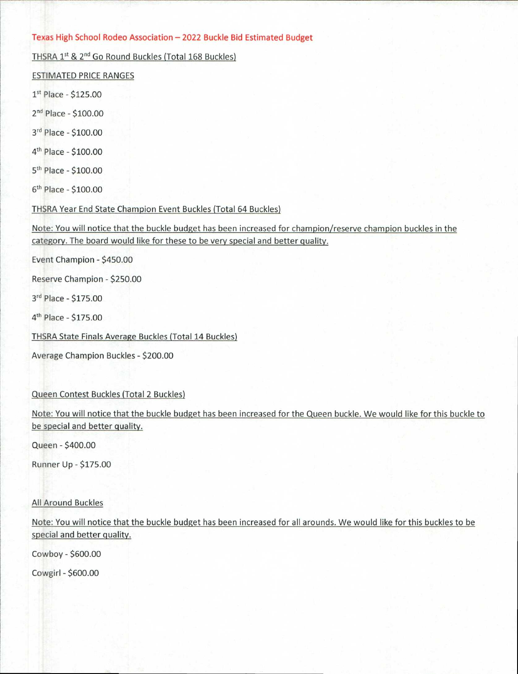## Texas High School Rodeo Association — 2022 Buckle Bid Estimated Budget

THSRA 1<sup>st</sup> & 2<sup>nd</sup> Go Round Buckles (Total 168 Buckles)

ESTIMATED PRICE RANGES

1st Place - \$125.00

 $2<sup>nd</sup> Place - $100.00$ 

3rd Place - \$100.00

 $4<sup>th</sup>$  Place - \$100.00

 $5<sup>th</sup>$  Place - \$100.00

 $6<sup>th</sup>$  Place - \$100.00

THSRA Year End State Champion Event Buckles (Total 64 Buckles)

Note: You will notice that the buckle budget has been increased for champion/reserve champion buckles in the category. The board would like for these to be very special and better quality.

Event Champion - \$450.00

Reserve Champion - \$250.00

3rd Place - \$175.00

4<sup>th</sup> Place - \$175.00

THSRA State Finals Average Buckles (Total 14 Buckles)

Average Champion Buckles - \$200.00

Queen Contest Buckles (Total 2 Buckles)

Note: You will notice that the buckle budget has been increased for the Queen buckle. We would like for this buckle to be special and better quality.

Queen - \$400.00

Runner Up - \$175.00

All Around Buckles

Note: You will notice that the buckle budget has been increased for all arounds. We would like for this buckles to be special and better quality.

Cowboy - \$600.00

Cowgirl - \$600.00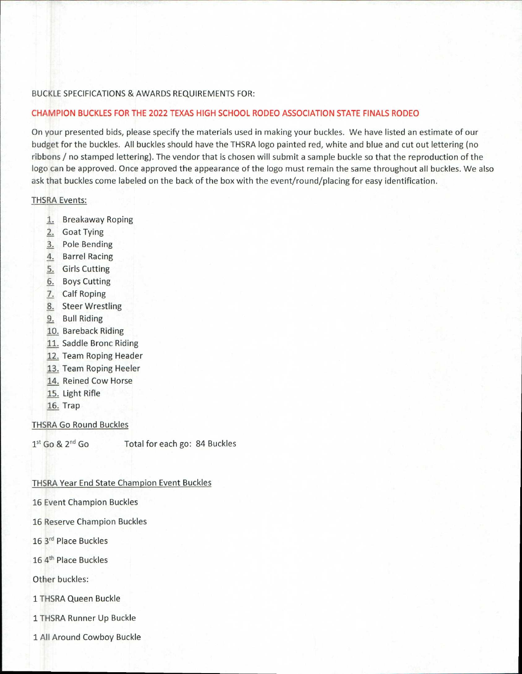## BUCKLE SPECIFICATIONS & AWARDS REQUIREMENTS FOR:

## **CHAMPION BUCKLES FOR THE 2022 TEXAS HIGH SCHOOL RODEO ASSOCIATION STATE FINALS RODEO**

On your presented bids, please specify the materials used in making your buckles. We have listed an estimate of our budget for the buckles. All buckles should have the THSRA logo painted red, white and blue and cut out lettering (no ribbons / no stamped lettering). The vendor that is chosen will submit a sample buckle so that the reproduction of the logo can be approved. Once approved the appearance of the logo must remain the same throughout all buckles. We also ask that buckles come labeled on the back of the box with the event/round/placing for easy identification.

#### THSRA Events:

- 1. Breakaway Roping
- 2. Goat Tying
- 3. Pole Bending
- 4. Barrel Racing
- 5. Girls Cutting
- 6. Boys Cutting
- 7. Calf Roping
- 8. Steer Wrestling
- 9. Bull Riding
- 10. Bareback Riding
- 11. Saddle Bronc Riding
- 12. Team Roping Header
- 13. Team Roping Heeler
- 14. Reined Cow Horse
- 15. Light Rifle
- 16. Trap

THSRA Go Round Buckles

 $1<sup>st</sup>$  Go &  $2<sup>nd</sup>$  Go Total for each go: 84 Buckles

### THSRA Year End State Champion Event Buckles

16 Event Champion Buckles

- 16 Reserve Champion Buckles
- 16 3<sup>rd</sup> Place Buckles
- 16 4<sup>th</sup> Place Buckles

Other buckles:

1 THSRA Queen Buckle

1 THSRA Runner Up Buckle

1 All Around Cowboy Buckle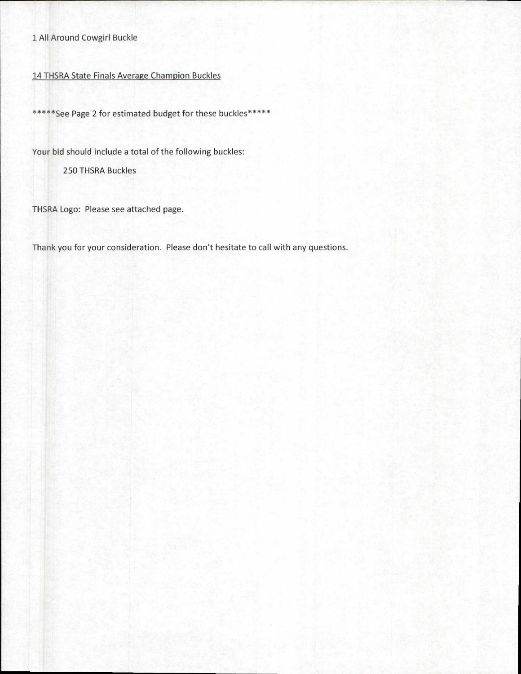# 1 All Around Cowgirl Buckle

# 14 THSRA State Finals Average Champion Buckles

\*\*\*\*\*See Page 2 for estimated budget for these buckles\*\*\*\*\*

Your bid should include a total of the following buckles:

250 THSRA Buckles

THSRA Logo: Please see attached page.

Thank you for your consideration. Please don't hesitate to call with any questions.